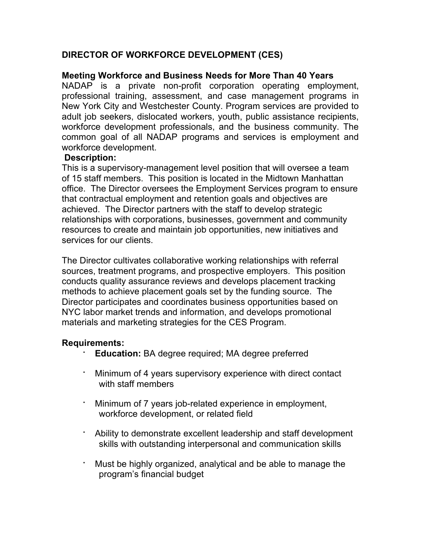# **DIRECTOR OF WORKFORCE DEVELOPMENT (CES)**

## **Meeting Workforce and Business Needs for More Than 40 Years**

NADAP is a private non-profit corporation operating employment, professional training, assessment, and case management programs in New York City and Westchester County. Program services are provided to adult job seekers, dislocated workers, youth, public assistance recipients, workforce development professionals, and the business community. The common goal of all NADAP programs and services is employment and workforce development.

### **Description:**

This is a supervisory-management level position that will oversee a team of 15 staff members. This position is located in the Midtown Manhattan office. The Director oversees the Employment Services program to ensure that contractual employment and retention goals and objectives are achieved. The Director partners with the staff to develop strategic relationships with corporations, businesses, government and community resources to create and maintain job opportunities, new initiatives and services for our clients.

The Director cultivates collaborative working relationships with referral sources, treatment programs, and prospective employers. This position conducts quality assurance reviews and develops placement tracking methods to achieve placement goals set by the funding source. The Director participates and coordinates business opportunities based on NYC labor market trends and information, and develops promotional materials and marketing strategies for the CES Program.

#### **Requirements:**

- **Education:** BA degree required; MA degree preferred
- Minimum of 4 years supervisory experience with direct contact with staff members
- Minimum of 7 years job-related experience in employment, workforce development, or related field
- · Ability to demonstrate excellent leadership and staff development skills with outstanding interpersonal and communication skills
- Must be highly organized, analytical and be able to manage the program's financial budget